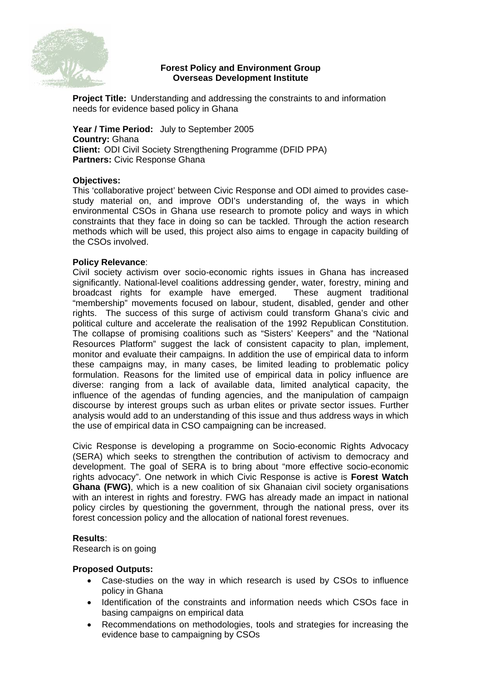

# **Forest Policy and Environment Group Overseas Development Institute**

**Project Title:** Understanding and addressing the constraints to and information needs for evidence based policy in Ghana

**Year / Time Period:** July to September 2005 **Country:** Ghana **Client:** ODI Civil Society Strengthening Programme (DFID PPA) **Partners:** Civic Response Ghana

## **Objectives:**

This 'collaborative project' between Civic Response and ODI aimed to provides casestudy material on, and improve ODI's understanding of, the ways in which environmental CSOs in Ghana use research to promote policy and ways in which constraints that they face in doing so can be tackled. Through the action research methods which will be used, this project also aims to engage in capacity building of the CSOs involved.

## **Policy Relevance**:

Civil society activism over socio-economic rights issues in Ghana has increased significantly. National-level coalitions addressing gender, water, forestry, mining and broadcast rights for example have emerged. These augment traditional "membership" movements focused on labour, student, disabled, gender and other rights. The success of this surge of activism could transform Ghana's civic and political culture and accelerate the realisation of the 1992 Republican Constitution. The collapse of promising coalitions such as "Sisters' Keepers" and the "National Resources Platform" suggest the lack of consistent capacity to plan, implement, monitor and evaluate their campaigns. In addition the use of empirical data to inform these campaigns may, in many cases, be limited leading to problematic policy formulation. Reasons for the limited use of empirical data in policy influence are diverse: ranging from a lack of available data, limited analytical capacity, the influence of the agendas of funding agencies, and the manipulation of campaign discourse by interest groups such as urban elites or private sector issues. Further analysis would add to an understanding of this issue and thus address ways in which the use of empirical data in CSO campaigning can be increased.

Civic Response is developing a programme on Socio-economic Rights Advocacy (SERA) which seeks to strengthen the contribution of activism to democracy and development. The goal of SERA is to bring about "more effective socio-economic rights advocacy". One network in which Civic Response is active is **Forest Watch Ghana (FWG)**, which is a new coalition of six Ghanaian civil society organisations with an interest in rights and forestry. FWG has already made an impact in national policy circles by questioning the government, through the national press, over its forest concession policy and the allocation of national forest revenues.

# **Results**:

Research is on going

# **Proposed Outputs:**

- Case-studies on the way in which research is used by CSOs to influence policy in Ghana
- Identification of the constraints and information needs which CSOs face in basing campaigns on empirical data
- Recommendations on methodologies, tools and strategies for increasing the evidence base to campaigning by CSOs